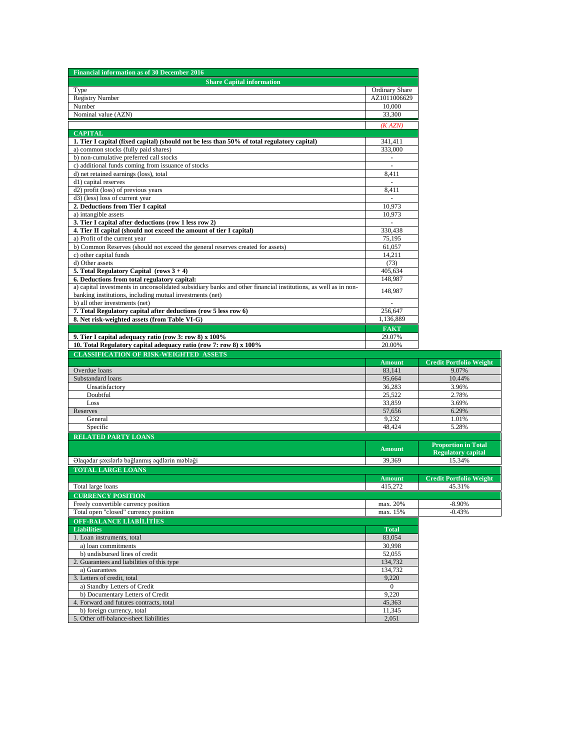| <b>Financial information as of 30 December 2016</b>                                                                                 |                  |                                |
|-------------------------------------------------------------------------------------------------------------------------------------|------------------|--------------------------------|
| <b>Share Capital information</b>                                                                                                    |                  |                                |
| Type                                                                                                                                | Ordinary Share   |                                |
| <b>Registry Number</b>                                                                                                              | AZ1011006629     |                                |
| Number<br>Nominal value (AZN)                                                                                                       | 10,000<br>33,300 |                                |
|                                                                                                                                     |                  |                                |
|                                                                                                                                     | (K AZN)          |                                |
| <b>CAPITAL</b>                                                                                                                      | 341,411          |                                |
| 1. Tier I capital (fixed capital) (should not be less than 50% of total regulatory capital)<br>a) common stocks (fully paid shares) | 333,000          |                                |
| b) non-cumulative preferred call stocks                                                                                             | $\sim$           |                                |
| c) additional funds coming from issuance of stocks                                                                                  |                  |                                |
| d) net retained earnings (loss), total                                                                                              | 8,411            |                                |
| d1) capital reserves                                                                                                                | $\sim$           |                                |
| d2) profit (loss) of previous years                                                                                                 | 8,411            |                                |
| d <sub>3</sub> ) (less) loss of current year                                                                                        | ä,               |                                |
| 2. Deductions from Tier I capital                                                                                                   | 10.973           |                                |
| a) intangible assets                                                                                                                | 10,973           |                                |
| 3. Tier I capital after deductions (row 1 less row 2)                                                                               |                  |                                |
| 4. Tier II capital (should not exceed the amount of tier I capital)                                                                 | 330,438          |                                |
| a) Profit of the current year<br>b) Common Reserves (should not exceed the general reserves created for assets)                     | 75,195<br>61,057 |                                |
| c) other capital funds                                                                                                              | 14,211           |                                |
| d) Other assets                                                                                                                     | (73)             |                                |
| 5. Total Regulatory Capital (rows $3 + 4$ )                                                                                         | 405,634          |                                |
| 6. Deductions from total regulatory capital:                                                                                        | 148,987          |                                |
| a) capital investments in unconsolidated subsidiary banks and other financial institutions, as well as in non-                      |                  |                                |
| banking institutions, including mutual investments (net)                                                                            | 148,987          |                                |
| b) all other investments (net)                                                                                                      |                  |                                |
| 7. Total Regulatory capital after deductions (row 5 less row 6)                                                                     | 256,647          |                                |
| 8. Net risk-weighted assets (from Table VI-G)                                                                                       | 1,136,889        |                                |
|                                                                                                                                     | <b>FAKT</b>      |                                |
| 9. Tier I capital adequacy ratio (row 3: row 8) x 100%                                                                              | 29.07%           |                                |
| 10. Total Regulatory capital adequacy ratio (row 7: row 8) x 100%                                                                   | 20.00%           |                                |
|                                                                                                                                     |                  |                                |
| <b>CLASSIFICATION OF RISK-WEIGHTED ASSETS</b>                                                                                       |                  |                                |
|                                                                                                                                     | <b>Amount</b>    | <b>Credit Portfolio Weight</b> |
| Overdue loans                                                                                                                       | 83,141           | 9.07%                          |
| Substandard loans                                                                                                                   | 95,664           | 10.44%                         |
| Unsatisfactory                                                                                                                      | 36,283           | 3.96%                          |
| Doubtful<br>Loss                                                                                                                    | 25,522<br>33,859 | 2.78%<br>3.69%                 |
| Reserves                                                                                                                            | 57,656           | 6.29%                          |
| General                                                                                                                             | 9,232            | 1.01%                          |
| Specific                                                                                                                            | 48,424           | 5.28%                          |
| <b>RELATED PARTY LOANS</b>                                                                                                          |                  |                                |
|                                                                                                                                     |                  | <b>Proportion in Total</b>     |
|                                                                                                                                     | <b>Amount</b>    | <b>Regulatory capital</b>      |
| Əlaqədar şəxslərlə bağlanmış əqdlərin məbləği                                                                                       | 39,369           | 15.34%                         |
| <b>TOTAL LARGE LOANS</b>                                                                                                            |                  |                                |
|                                                                                                                                     | Amount           | <b>Credit Portfolio Weight</b> |
| Total large loans                                                                                                                   | 415,272          | 45.31%                         |
| <b>CURRENCY POSITION</b>                                                                                                            |                  |                                |
| Freely convertible currency position                                                                                                | max. 20%         | $-8.90%$                       |
| Total open "closed" currency position                                                                                               | max. 15%         | $-0.43%$                       |
| <b>OFF-BALANCE LIABILITIES</b>                                                                                                      |                  |                                |
| <b>Liabilities</b>                                                                                                                  | <b>Total</b>     |                                |
| 1. Loan instruments, total                                                                                                          | 83,054           |                                |
| a) loan commitments<br>b) undisbursed lines of credit                                                                               | 30,998<br>52,055 |                                |
| 2. Guarantees and liabilities of this type                                                                                          | 134,732          |                                |
| a) Guarantees                                                                                                                       | 134,732          |                                |
| 3. Letters of credit, total                                                                                                         | 9,220            |                                |
| a) Standby Letters of Credit                                                                                                        | $\mathbf{0}$     |                                |
| b) Documentary Letters of Credit                                                                                                    | 9,220            |                                |
| 4. Forward and futures contracts, total                                                                                             | 45,363           |                                |
| b) foreign currency, total<br>5. Other off-balance-sheet liabilities                                                                | 11,345<br>2,051  |                                |